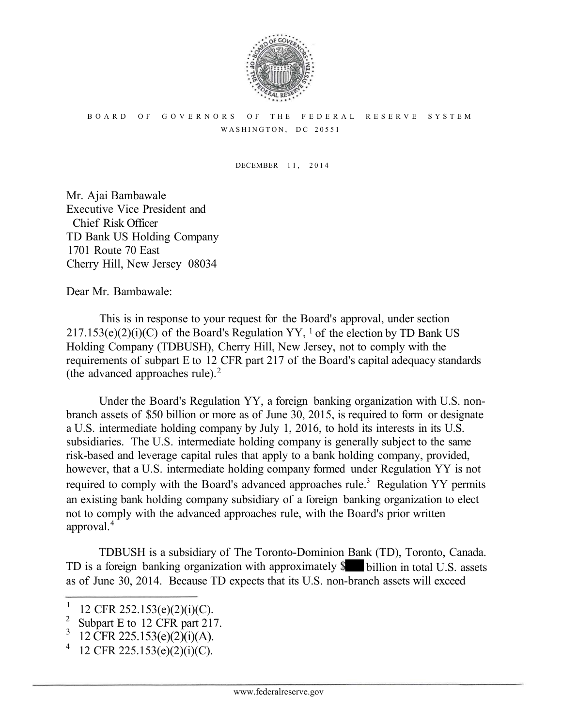

## BOARD OF GOVERNORS OF THE FEDERAL RESERVE SYSTEM WASHINGTON, DC 20551

DECEMBER 11, 2014

Mr. Ajai Bambawale Executive Vice President and Chief Risk Officer TD Bank US Holding Company 1701 Route 70 East Cherry Hill, New Jersey 08034

Dear Mr. Bambawale:

This is in response to your request for the Board's approval, under section  $217.153(e)(2)(i)(C)$  of the Board's Regulation YY, <sup>1</sup> of the election by TD Bank US Holding Company (TDBUSH), Cherry Hill, New Jersey, not to comply with the requirements of subpart E to 12 CFR part 217 of the Board's capital adequacy standards (the advanced approaches rule). 2

Under the Board's Regulation YY, a foreign banking organization with U.S. nonbranch assets of \$50 billion or more as of June 30, 2015, is required to form or designate a U.S. intermediate holding company by July 1, 2016, to hold its interests in its U.S. subsidiaries. The U.S. intermediate holding company is generally subject to the same risk-based and leverage capital rules that apply to a bank holding company, provided, however, that a U.S. intermediate holding company formed under Regulation YY is not required to comply with the Board's advanced approaches rule.<sup>3</sup> Regulation YY permits an existing bank holding company subsidiary of a foreign banking organization to elect not to comply with the advanced approaches rule, with the Board's prior written approval. 4

TDBUSH is a subsidiary of The Toronto-Dominion Bank (TD), Toronto, Canada. TD is a foreign banking organization with approximately  $\$\blacksquare$  billion in total U.S. assets as of June 30, 2014. Because TD expects that its U.S. non-branch assets will exceed

<sup>1</sup> <sup>1</sup> 12 CFR 252.153(e)(2)(i)(C).<br><sup>2</sup> Systematric 12 CEP part 212

Subpart E to 12 CFR part 217.

<sup>12</sup> CFR 225.153(e)(2)(i)(A).

 <sup>12</sup> CFR 225.153(e)(2)(i)(C).